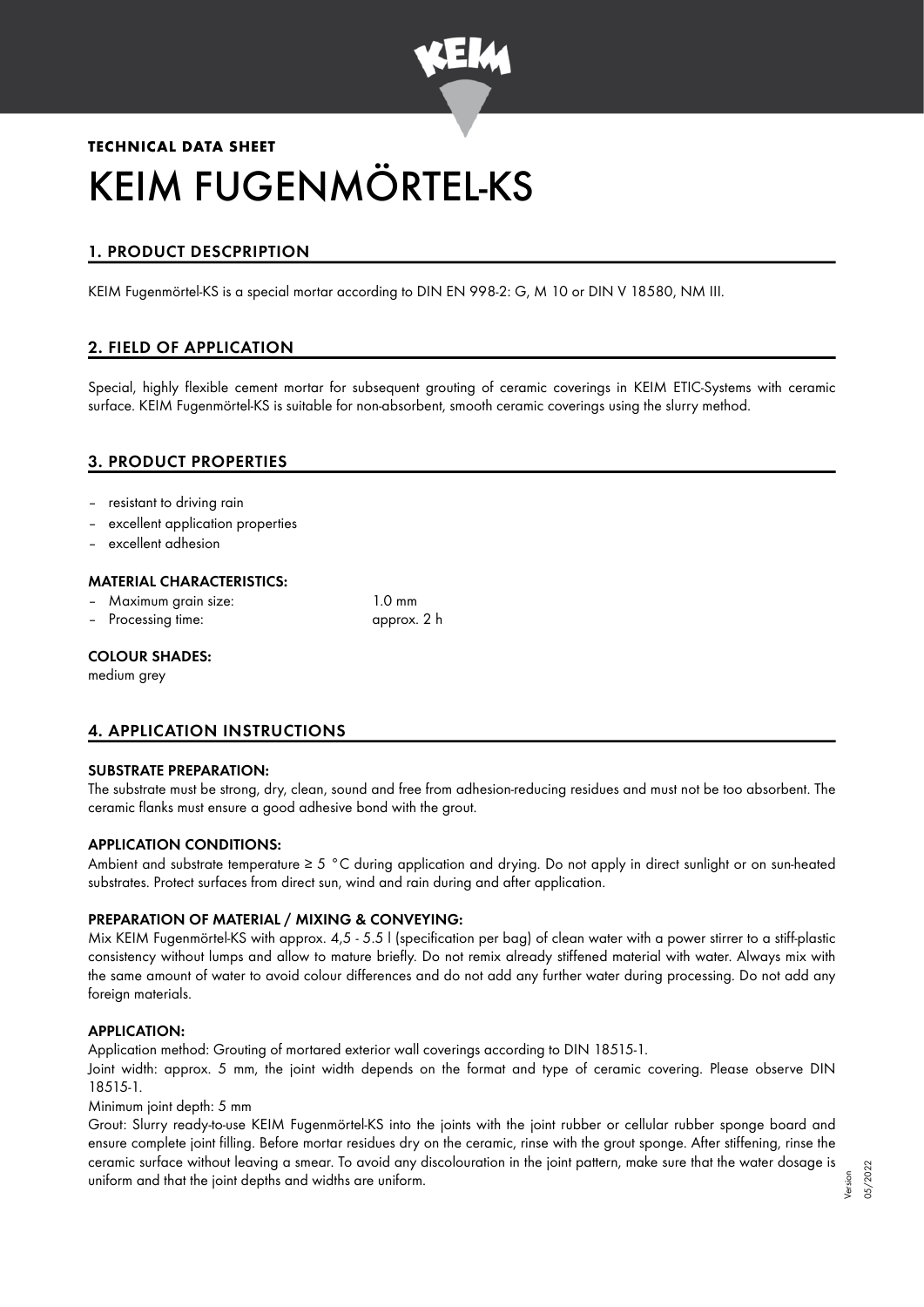

# **TECHNICAL DATA SHEET** KEIM FUGENMÖRTEL-KS

# 1. PRODUCT DESCPRIPTION

KEIM Fugenmörtel-KS is a special mortar according to DIN EN 998-2: G, M 10 or DIN V 18580, NM III.

# 2. FIELD OF APPLICATION

Special, highly flexible cement mortar for subsequent grouting of ceramic coverings in KEIM ETIC-Systems with ceramic surface. KEIM Fugenmörtel-KS is suitable for non-absorbent, smooth ceramic coverings using the slurry method.

# 3. PRODUCT PROPERTIES

- resistant to driving rain
- excellent application properties
- excellent adhesion

#### MATERIAL CHARACTERISTICS:

- Maximum grain size: 1.0 mm
- Processing time: approx. 2 h

#### COLOUR SHADES:

medium arev

# 4. APPLICATION INSTRUCTIONS

#### SUBSTRATE PREPARATION:

The substrate must be strong, dry, clean, sound and free from adhesion-reducing residues and must not be too absorbent. The ceramic flanks must ensure a good adhesive bond with the grout.

#### APPLICATION CONDITIONS:

Ambient and substrate temperature  $\geq 5$  °C during application and drying. Do not apply in direct sunlight or on sun-heated substrates. Protect surfaces from direct sun, wind and rain during and after application.

## PREPARATION OF MATERIAL / MIXING & CONVEYING:

Mix KEIM Fugenmörtel-KS with approx. 4,5 - 5.5 l (specification per bag) of clean water with a power stirrer to a stiff-plastic consistency without lumps and allow to mature briefly. Do not remix already stiffened material with water. Always mix with the same amount of water to avoid colour differences and do not add any further water during processing. Do not add any foreign materials.

#### APPLICATION:

Application method: Grouting of mortared exterior wall coverings according to DIN 18515-1.

Joint width: approx. 5 mm, the joint width depends on the format and type of ceramic covering. Please observe DIN 18515-1.

Minimum joint depth: 5 mm

Grout: Slurry ready-to-use KEIM Fugenmörtel-KS into the joints with the joint rubber or cellular rubber sponge board and ensure complete joint filling. Before mortar residues dry on the ceramic, rinse with the grout sponge. After stiffening, rinse the ceramic surface without leaving a smear. To avoid any discolouration in the joint pattern, make sure that the water dosage is uniform and that the joint depths and widths are uniform.